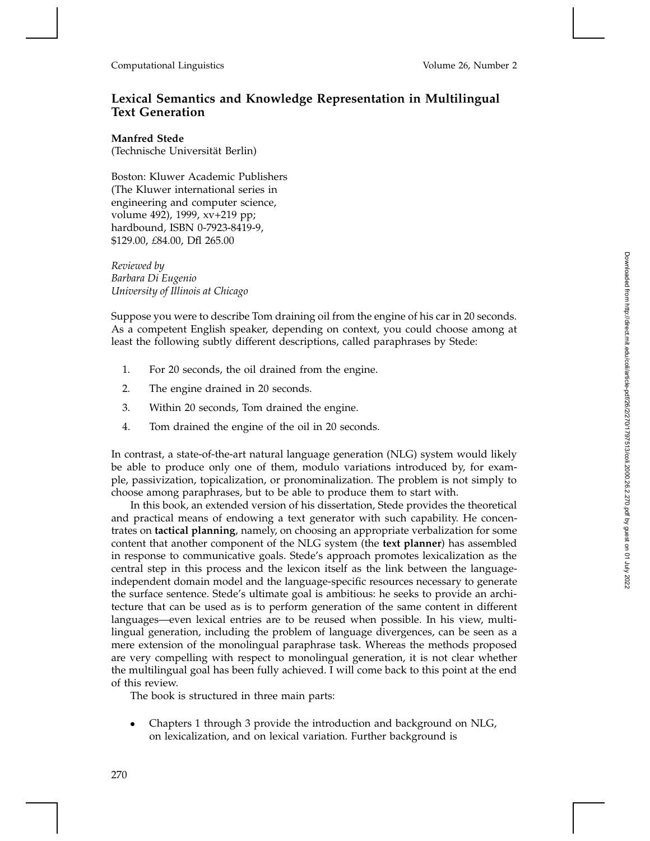## **Lexical Semantics and Knowledge Representation in Multilingual Text Generation**

## **Manfred Stede**

(Technische Universität Berlin)

Boston: Kluwer Academic Publishers (The Kluwer international series in engineering and computer science, volume 492), 1999, xv+219 pp; hardbound, ISBN 0-7923-8419-9, \$129.00, *£*84.00, Dfl 265.00

*Reviewed by Barbara Di Eugenio University of Illinois at Chicago*

Suppose you were to describe Tom draining oil from the engine of his car in 20 seconds. As a competent English speaker, depending on context, you could choose among at least the following subtly different descriptions, called paraphrases by Stede:

- 1. For 20 seconds, the oil drained from the engine.
- 2. The engine drained in 20 seconds.
- 3. Within 20 seconds, Tom drained the engine.
- 4. Tom drained the engine of the oil in 20 seconds.

In contrast, a state-of-the-art natural language generation (NLG) system would likely be able to produce only one of them, modulo variations introduced by, for example, passivization, topicalization, or pronominalization. The problem is not simply to choose among paraphrases, but to be able to produce them to start with.

In this book, an extended version of his dissertation, Stede provides the theoretical and practical means of endowing a text generator with such capability. He concentrates on **tactical planning**, namely, on choosing an appropriate verbalization for some content that another component of the NLG system (the **text planner**) has assembled in response to communicative goals. Stede's approach promotes lexicalization as the central step in this process and the lexicon itself as the link between the languageindependent domain model and the language-specific resources necessary to generate the surface sentence. Stede's ultimate goal is ambitious: he seeks to provide an architecture that can be used as is to perform generation of the same content in different languages—even lexical entries are to be reused when possible. In his view, multilingual generation, including the problem of language divergences, can be seen as a mere extension of the monolingual paraphrase task. Whereas the methods proposed are very compelling with respect to monolingual generation, it is not clear whether the multilingual goal has been fully achieved. I will come back to this point at the end of this review.

The book is structured in three main parts:

• Chapters 1 through 3 provide the introduction and background on NLG, on lexicalization, and on lexical variation. Further background is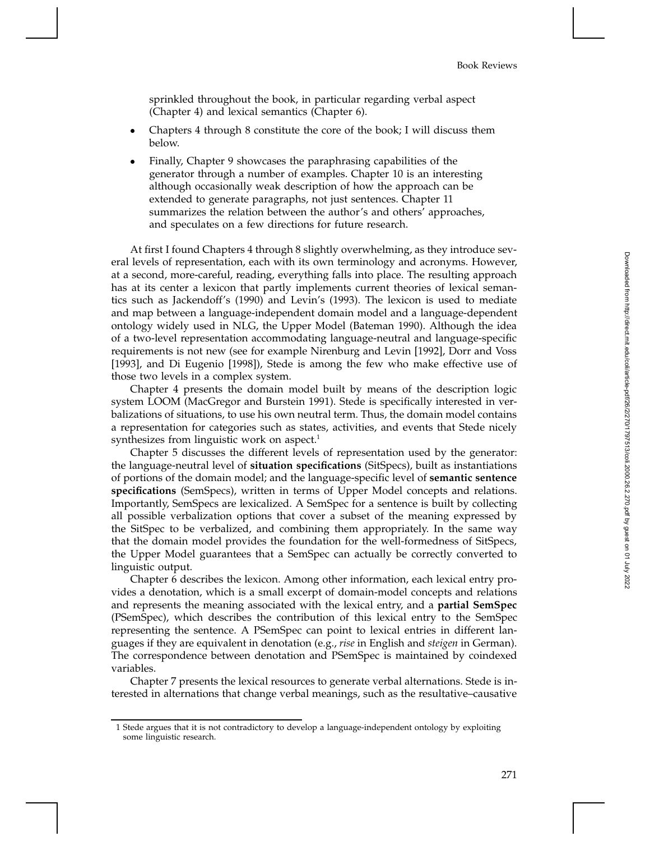sprinkled throughout the book, in particular regarding verbal aspect (Chapter 4) and lexical semantics (Chapter 6).

- Chapters 4 through 8 constitute the core of the book; I will discuss them below.
- Finally, Chapter 9 showcases the paraphrasing capabilities of the generator through a number of examples. Chapter 10 is an interesting although occasionally weak description of how the approach can be extended to generate paragraphs, not just sentences. Chapter 11 summarizes the relation between the author's and others' approaches, and speculates on a few directions for future research.

At first I found Chapters 4 through 8 slightly overwhelming, as they introduce several levels of representation, each with its own terminology and acronyms. However, at a second, more-careful, reading, everything falls into place. The resulting approach has at its center a lexicon that partly implements current theories of lexical semantics such as Jackendoff's (1990) and Levin's (1993). The lexicon is used to mediate and map between a language-independent domain model and a language-dependent ontology widely used in NLG, the Upper Model (Bateman 1990). Although the idea of a two-level representation accommodating language-neutral and language-specific requirements is not new (see for example Nirenburg and Levin [1992], Dorr and Voss [1993], and Di Eugenio [1998]), Stede is among the few who make effective use of those two levels in a complex system.

Chapter 4 presents the domain model built by means of the description logic system LOOM (MacGregor and Burstein 1991). Stede is specifically interested in verbalizations of situations, to use his own neutral term. Thus, the domain model contains a representation for categories such as states, activities, and events that Stede nicely synthesizes from linguistic work on aspect.<sup>1</sup>

Chapter 5 discusses the different levels of representation used by the generator: the language-neutral level of **situation specifications** (SitSpecs), built as instantiations of portions of the domain model; and the language-specific level of **semantic sentence specifications** (SemSpecs), written in terms of Upper Model concepts and relations. Importantly, SemSpecs are lexicalized. A SemSpec for a sentence is built by collecting all possible verbalization options that cover a subset of the meaning expressed by the SitSpec to be verbalized, and combining them appropriately. In the same way that the domain model provides the foundation for the well-formedness of SitSpecs, the Upper Model guarantees that a SemSpec can actually be correctly converted to linguistic output.

Chapter 6 describes the lexicon. Among other information, each lexical entry provides a denotation, which is a small excerpt of domain-model concepts and relations and represents the meaning associated with the lexical entry, and a **partial SemSpec** (PSemSpec), which describes the contribution of this lexical entry to the SemSpec representing the sentence. A PSemSpec can point to lexical entries in different languages if they are equivalent in denotation (e.g., *rise* in English and *steigen* in German). The correspondence between denotation and PSemSpec is maintained by coindexed variables.

Chapter 7 presents the lexical resources to generate verbal alternations. Stede is interested in alternations that change verbal meanings, such as the resultative–causative

<sup>1</sup> Stede argues that it is not contradictory to develop a language-independent ontology by exploiting some linguistic research.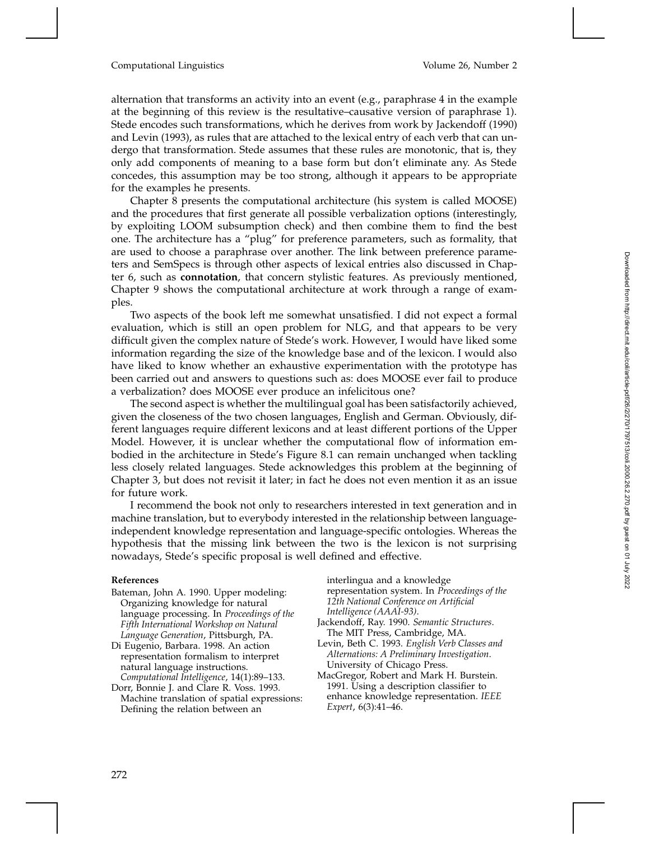## Computational Linguistics Volume 26, Number 2

alternation that transforms an activity into an event (e.g., paraphrase 4 in the example at the beginning of this review is the resultative–causative version of paraphrase 1). Stede encodes such transformations, which he derives from work by Jackendoff (1990) and Levin (1993), as rules that are attached to the lexical entry of each verb that can undergo that transformation. Stede assumes that these rules are monotonic, that is, they only add components of meaning to a base form but don't eliminate any. As Stede concedes, this assumption may be too strong, although it appears to be appropriate for the examples he presents.

Chapter 8 presents the computational architecture (his system is called MOOSE) and the procedures that first generate all possible verbalization options (interestingly, by exploiting LOOM subsumption check) and then combine them to find the best one. The architecture has a "plug" for preference parameters, such as formality, that are used to choose a paraphrase over another. The link between preference parameters and SemSpecs is through other aspects of lexical entries also discussed in Chapter 6, such as **connotation**, that concern stylistic features. As previously mentioned, Chapter 9 shows the computational architecture at work through a range of examples.

Two aspects of the book left me somewhat unsatisfied. I did not expect a formal evaluation, which is still an open problem for NLG, and that appears to be very difficult given the complex nature of Stede's work. However, I would have liked some information regarding the size of the knowledge base and of the lexicon. I would also have liked to know whether an exhaustive experimentation with the prototype has been carried out and answers to questions such as: does MOOSE ever fail to produce a verbalization? does MOOSE ever produce an infelicitous one?

The second aspect is whether the multilingual goal has been satisfactorily achieved, given the closeness of the two chosen languages, English and German. Obviously, different languages require different lexicons and at least different portions of the Upper Model. However, it is unclear whether the computational flow of information embodied in the architecture in Stede's Figure 8.1 can remain unchanged when tackling less closely related languages. Stede acknowledges this problem at the beginning of Chapter 3, but does not revisit it later; in fact he does not even mention it as an issue for future work.

I recommend the book not only to researchers interested in text generation and in machine translation, but to everybody interested in the relationship between languageindependent knowledge representation and language-specific ontologies. Whereas the hypothesis that the missing link between the two is the lexicon is not surprising nowadays, Stede's specific proposal is well defined and effective.

## **References**

- Bateman, John A. 1990. Upper modeling: Organizing knowledge for natural language processing. In *Proceedings of the Fifth International Workshop on Natural Language Generation*, Pittsburgh, PA.
- Di Eugenio, Barbara. 1998. An action representation formalism to interpret natural language instructions. *Computational Intelligence*, 14(1):89–133.
- Dorr, Bonnie J. and Clare R. Voss. 1993. Machine translation of spatial expressions: Defining the relation between an

interlingua and a knowledge

representation system. In *Proceedings of the 12th National Conference on Artificial Intelligence (AAAI-93)* .

Jackendoff, Ray. 1990. *Semantic Structures* . The MIT Press, Cambridge, MA.

- Levin, Beth C. 1993. *English Verb Classes and Alternations: A Preliminary Investigation* . University of Chicago Press.
- MacGregor, Robert and Mark H. Burstein. 1991. Using a description classifier to enhance knowledge representation. *IEEE Expert*, 6(3):41–46.